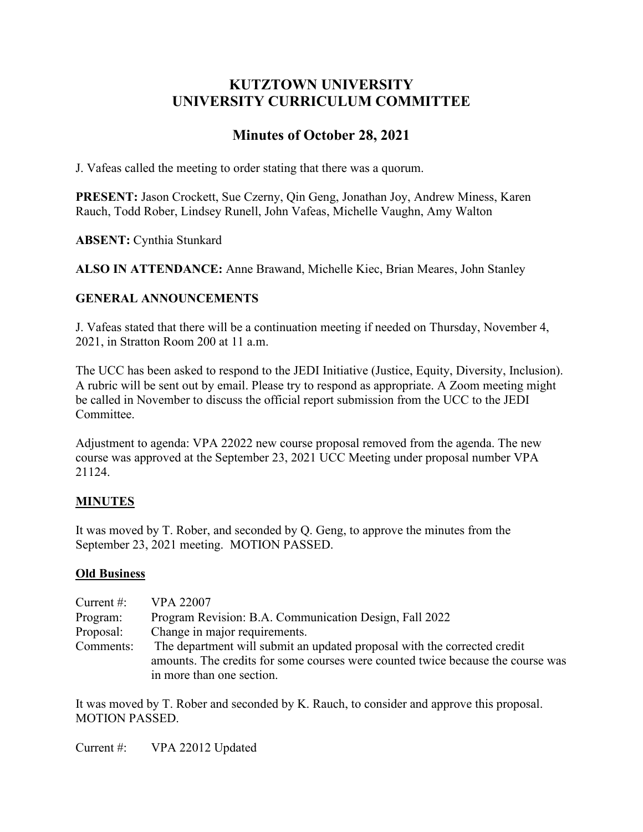# **KUTZTOWN UNIVERSITY UNIVERSITY CURRICULUM COMMITTEE**

# **Minutes of October 28, 2021**

J. Vafeas called the meeting to order stating that there was a quorum.

**PRESENT:** Jason Crockett, Sue Czerny, Qin Geng, Jonathan Joy, Andrew Miness, Karen Rauch, Todd Rober, Lindsey Runell, John Vafeas, Michelle Vaughn, Amy Walton

**ABSENT:** Cynthia Stunkard

**ALSO IN ATTENDANCE:** Anne Brawand, Michelle Kiec, Brian Meares, John Stanley

# **GENERAL ANNOUNCEMENTS**

J. Vafeas stated that there will be a continuation meeting if needed on Thursday, November 4, 2021, in Stratton Room 200 at 11 a.m.

The UCC has been asked to respond to the JEDI Initiative (Justice, Equity, Diversity, Inclusion). A rubric will be sent out by email. Please try to respond as appropriate. A Zoom meeting might be called in November to discuss the official report submission from the UCC to the JEDI Committee.

Adjustment to agenda: VPA 22022 new course proposal removed from the agenda. The new course was approved at the September 23, 2021 UCC Meeting under proposal number VPA 21124.

# **MINUTES**

It was moved by T. Rober, and seconded by Q. Geng, to approve the minutes from the September 23, 2021 meeting. MOTION PASSED.

#### **Old Business**

| Current $\#$ : | <b>VPA 22007</b>                                                                |
|----------------|---------------------------------------------------------------------------------|
| Program:       | Program Revision: B.A. Communication Design, Fall 2022                          |
| Proposal:      | Change in major requirements.                                                   |
| Comments:      | The department will submit an updated proposal with the corrected credit        |
|                | amounts. The credits for some courses were counted twice because the course was |
|                | in more than one section.                                                       |

It was moved by T. Rober and seconded by K. Rauch, to consider and approve this proposal. MOTION PASSED.

Current #: VPA 22012 Updated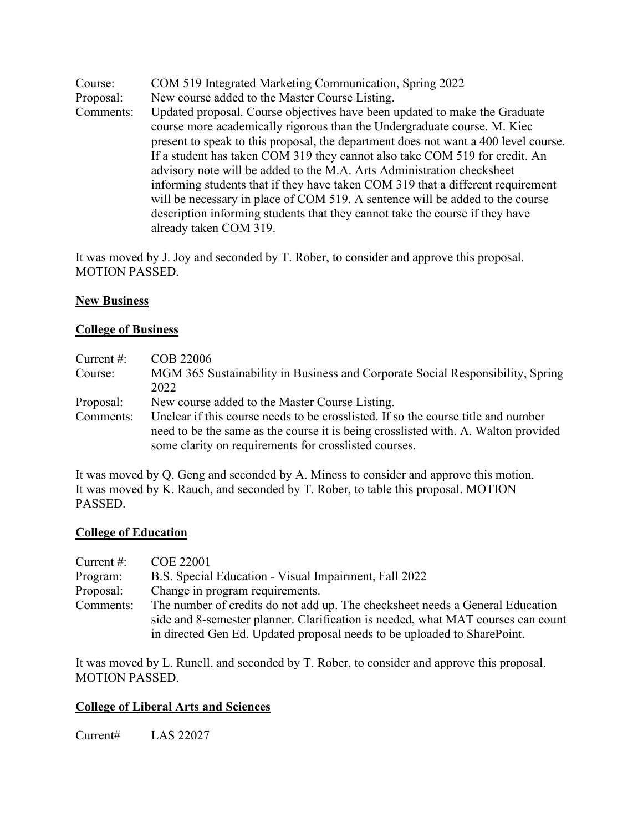Course: COM 519 Integrated Marketing Communication, Spring 2022 Proposal: New course added to the Master Course Listing. Comments: Updated proposal. Course objectives have been updated to make the Graduate course more academically rigorous than the Undergraduate course. M. Kiec present to speak to this proposal, the department does not want a 400 level course. If a student has taken COM 319 they cannot also take COM 519 for credit. An advisory note will be added to the M.A. Arts Administration checksheet informing students that if they have taken COM 319 that a different requirement will be necessary in place of COM 519. A sentence will be added to the course description informing students that they cannot take the course if they have already taken COM 319.

It was moved by J. Joy and seconded by T. Rober, to consider and approve this proposal. MOTION PASSED.

#### **New Business**

#### **College of Business**

| Current $#$ : | COB 22006                                                                          |
|---------------|------------------------------------------------------------------------------------|
| Course:       | MGM 365 Sustainability in Business and Corporate Social Responsibility, Spring     |
|               | 2022                                                                               |
| Proposal:     | New course added to the Master Course Listing.                                     |
| Comments:     | Unclear if this course needs to be crosslisted. If so the course title and number  |
|               | need to be the same as the course it is being crosslisted with. A. Walton provided |
|               | some clarity on requirements for crosslisted courses.                              |

It was moved by Q. Geng and seconded by A. Miness to consider and approve this motion. It was moved by K. Rauch, and seconded by T. Rober, to table this proposal. MOTION PASSED.

#### **College of Education**

| Current $#$ : | COE 22001                                                                        |
|---------------|----------------------------------------------------------------------------------|
| Program:      | B.S. Special Education - Visual Impairment, Fall 2022                            |
| Proposal:     | Change in program requirements.                                                  |
| Comments:     | The number of credits do not add up. The checksheet needs a General Education    |
|               | side and 8-semester planner. Clarification is needed, what MAT courses can count |
|               | in directed Gen Ed. Updated proposal needs to be uploaded to SharePoint.         |

It was moved by L. Runell, and seconded by T. Rober, to consider and approve this proposal. MOTION PASSED.

#### **College of Liberal Arts and Sciences**

Current# LAS 22027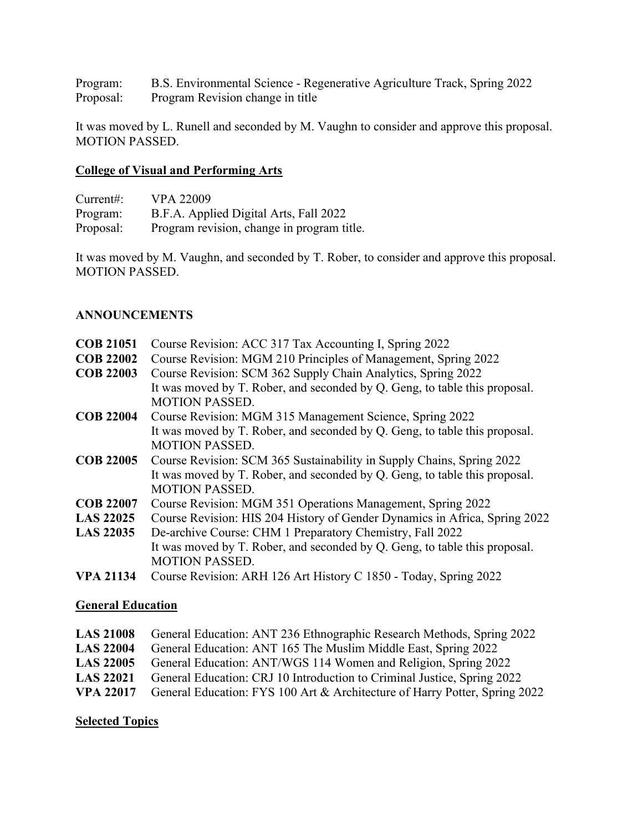Program: B.S. Environmental Science - Regenerative Agriculture Track, Spring 2022 Program Revision change in title

It was moved by L. Runell and seconded by M. Vaughn to consider and approve this proposal. MOTION PASSED.

# **College of Visual and Performing Arts**

| Current:  | <b>VPA 22009</b>                           |
|-----------|--------------------------------------------|
| Program:  | B.F.A. Applied Digital Arts, Fall 2022     |
| Proposal: | Program revision, change in program title. |

It was moved by M. Vaughn, and seconded by T. Rober, to consider and approve this proposal. MOTION PASSED.

## **ANNOUNCEMENTS**

| <b>COB 21051</b> | Course Revision: ACC 317 Tax Accounting I, Spring 2022                     |
|------------------|----------------------------------------------------------------------------|
| <b>COB 22002</b> | Course Revision: MGM 210 Principles of Management, Spring 2022             |
| <b>COB 22003</b> | Course Revision: SCM 362 Supply Chain Analytics, Spring 2022               |
|                  | It was moved by T. Rober, and seconded by Q. Geng, to table this proposal. |
|                  | <b>MOTION PASSED.</b>                                                      |
| <b>COB 22004</b> | Course Revision: MGM 315 Management Science, Spring 2022                   |
|                  | It was moved by T. Rober, and seconded by Q. Geng, to table this proposal. |
|                  | <b>MOTION PASSED.</b>                                                      |
| <b>COB 22005</b> | Course Revision: SCM 365 Sustainability in Supply Chains, Spring 2022      |
|                  | It was moved by T. Rober, and seconded by Q. Geng, to table this proposal. |
|                  | <b>MOTION PASSED.</b>                                                      |
| <b>COB 22007</b> | Course Revision: MGM 351 Operations Management, Spring 2022                |
| <b>LAS 22025</b> | Course Revision: HIS 204 History of Gender Dynamics in Africa, Spring 2022 |
| <b>LAS 22035</b> | De-archive Course: CHM 1 Preparatory Chemistry, Fall 2022                  |
|                  | It was moved by T. Rober, and seconded by Q. Geng, to table this proposal. |
|                  | <b>MOTION PASSED.</b>                                                      |
| <b>VPA 21134</b> | Course Revision: ARH 126 Art History C 1850 - Today, Spring 2022           |
|                  |                                                                            |

#### **General Education**

|                  | LAS 21008 General Education: ANT 236 Ethnographic Research Methods, Spring 2022             |
|------------------|---------------------------------------------------------------------------------------------|
| <b>LAS 22004</b> | General Education: ANT 165 The Muslim Middle East, Spring 2022                              |
| <b>LAS 22005</b> | General Education: ANT/WGS 114 Women and Religion, Spring 2022                              |
| <b>LAS 22021</b> | General Education: CRJ 10 Introduction to Criminal Justice, Spring 2022                     |
|                  | <b>VPA 22017</b> General Education: FYS 100 Art & Architecture of Harry Potter, Spring 2022 |

## **Selected Topics**